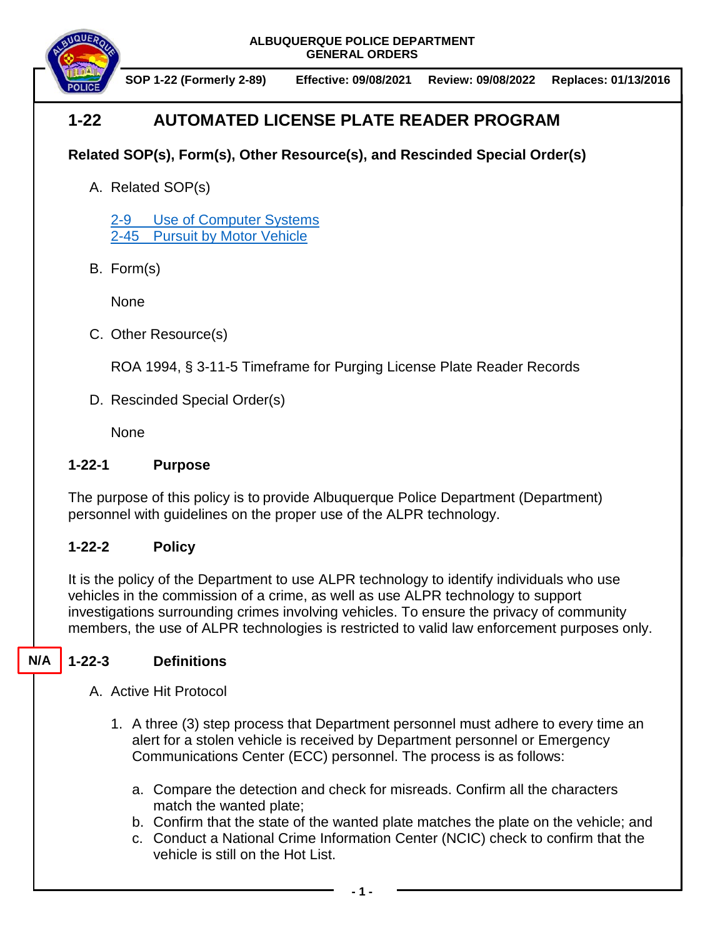**ALBUQUERQUE POLICE DEPARTMENT GENERAL ORDERS**



**SOP 1-22 (Formerly 2-89) Effective: 09/08/2021 Review: 09/08/2022 Replaces: 01/13/2016**

# **1-22 AUTOMATED LICENSE PLATE READER PROGRAM**

## **Related SOP(s), Form(s), Other Resource(s), and Rescinded Special Order(s)**

A. Related SOP(s)

2-9 [Use of Computer Systems](https://powerdms.com/docs/61) 2-45 [Pursuit by Motor Vehicle](https://powerdms.com/docs/139)

B. Form(s)

None

C. Other Resource(s)

ROA 1994, § 3-11-5 Timeframe for Purging License Plate Reader Records

D. Rescinded Special Order(s)

**None** 

### **1-22-1 Purpose**

The purpose of this policy is to provide Albuquerque Police Department (Department) personnel with guidelines on the proper use of the ALPR technology.

## **1-22-2 Policy**

It is the policy of the Department to use ALPR technology to identify individuals who use vehicles in the commission of a crime, as well as use ALPR technology to support investigations surrounding crimes involving vehicles. To ensure the privacy of community members, the use of ALPR technologies is restricted to valid law enforcement purposes only.

#### **1-22-3 Definitions N/A**

- A. Active Hit Protocol
	- 1. A three (3) step process that Department personnel must adhere to every time an alert for a stolen vehicle is received by Department personnel or Emergency Communications Center (ECC) personnel. The process is as follows:
		- a. Compare the detection and check for misreads. Confirm all the characters match the wanted plate;
		- b. Confirm that the state of the wanted plate matches the plate on the vehicle; and
		- c. Conduct a National Crime Information Center (NCIC) check to confirm that the vehicle is still on the Hot List.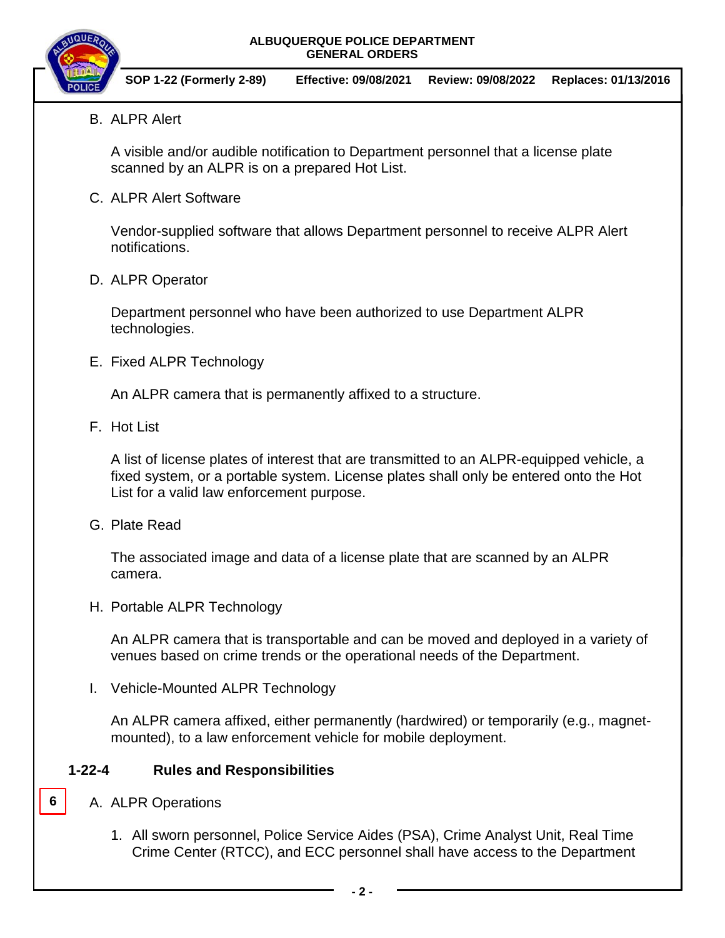### **ALBUQUERQUE POLICE DEPARTMENT GENERAL ORDERS**



- **SOP 1-22 (Formerly 2-89) Effective: 09/08/2021 Review: 09/08/2022 Replaces: 01/13/2016**
- B. ALPR Alert

A visible and/or audible notification to Department personnel that a license plate scanned by an ALPR is on a prepared Hot List.

C. ALPR Alert Software

Vendor-supplied software that allows Department personnel to receive ALPR Alert notifications.

D. ALPR Operator

Department personnel who have been authorized to use Department ALPR technologies.

E. Fixed ALPR Technology

An ALPR camera that is permanently affixed to a structure.

F. Hot List

A list of license plates of interest that are transmitted to an ALPR-equipped vehicle, a fixed system, or a portable system. License plates shall only be entered onto the Hot List for a valid law enforcement purpose.

G. Plate Read

The associated image and data of a license plate that are scanned by an ALPR camera.

H. Portable ALPR Technology

An ALPR camera that is transportable and can be moved and deployed in a variety of venues based on crime trends or the operational needs of the Department.

I. Vehicle-Mounted ALPR Technology

An ALPR camera affixed, either permanently (hardwired) or temporarily (e.g., magnetmounted), to a law enforcement vehicle for mobile deployment.

### **1-22-4 Rules and Responsibilities**

A. ALPR Operations

**6**

1. All sworn personnel, Police Service Aides (PSA), Crime Analyst Unit, Real Time Crime Center (RTCC), and ECC personnel shall have access to the Department